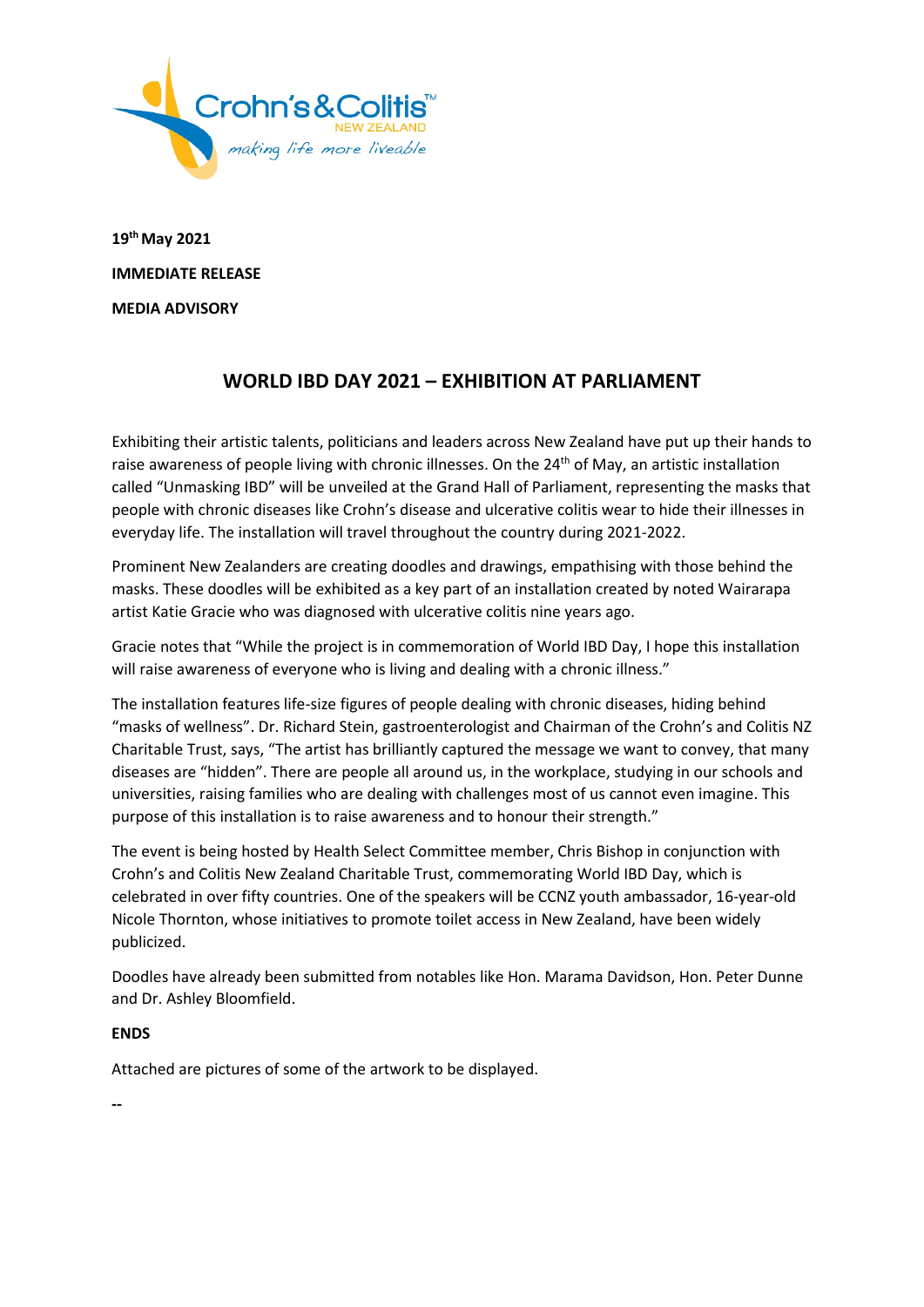

**19th May 2021 IMMEDIATE RELEASE MEDIA ADVISORY**

# **WORLD IBD DAY 2021 – EXHIBITION AT PARLIAMENT**

Exhibiting their artistic talents, politicians and leaders across New Zealand have put up their hands to raise awareness of people living with chronic illnesses. On the 24<sup>th</sup> of May, an artistic installation called "Unmasking IBD" will be unveiled at the Grand Hall of Parliament, representing the masks that people with chronic diseases like Crohn's disease and ulcerative colitis wear to hide their illnesses in everyday life. The installation will travel throughout the country during 2021-2022.

Prominent New Zealanders are creating doodles and drawings, empathising with those behind the masks. These doodles will be exhibited as a key part of an installation created by noted Wairarapa artist Katie Gracie who was diagnosed with ulcerative colitis nine years ago.

Gracie notes that "While the project is in commemoration of World IBD Day, I hope this installation will raise awareness of everyone who is living and dealing with a chronic illness."

The installation features life-size figures of people dealing with chronic diseases, hiding behind "masks of wellness". Dr. Richard Stein, gastroenterologist and Chairman of the Crohn's and Colitis NZ Charitable Trust, says, "The artist has brilliantly captured the message we want to convey, that many diseases are "hidden". There are people all around us, in the workplace, studying in our schools and universities, raising families who are dealing with challenges most of us cannot even imagine. This purpose of this installation is to raise awareness and to honour their strength."

The event is being hosted by Health Select Committee member, Chris Bishop in conjunction with Crohn's and Colitis New Zealand Charitable Trust, commemorating World IBD Day, which is celebrated in over fifty countries. One of the speakers will be CCNZ youth ambassador, 16-year-old Nicole Thornton, whose initiatives to promote toilet access in New Zealand, have been widely publicized.

Doodles have already been submitted from notables like Hon. Marama Davidson, Hon. Peter Dunne and Dr. Ashley Bloomfield.

## **ENDS**

Attached are pictures of some of the artwork to be displayed.

**--**